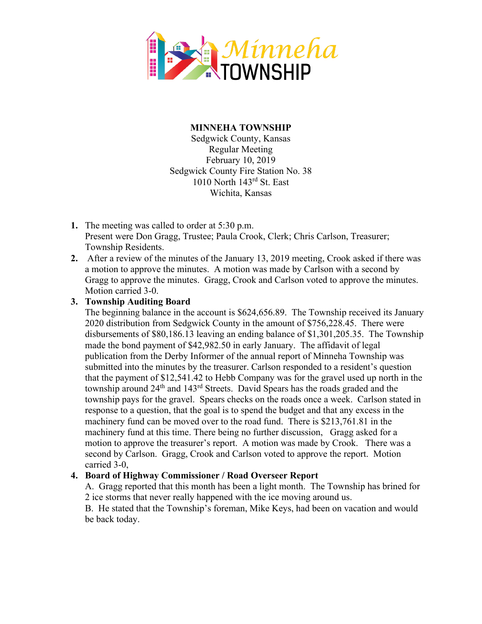

## **MINNEHA TOWNSHIP**

Sedgwick County, Kansas Regular Meeting February 10, 2019 Sedgwick County Fire Station No. 38 1010 North 143rd St. East Wichita, Kansas

- **1.** The meeting was called to order at 5:30 p.m. Present were Don Gragg, Trustee; Paula Crook, Clerk; Chris Carlson, Treasurer; Township Residents.
- **2.** After a review of the minutes of the January 13, 2019 meeting, Crook asked if there was a motion to approve the minutes. A motion was made by Carlson with a second by Gragg to approve the minutes. Gragg, Crook and Carlson voted to approve the minutes. Motion carried 3-0.

## **3. Township Auditing Board**

The beginning balance in the account is \$624,656.89. The Township received its January 2020 distribution from Sedgwick County in the amount of \$756,228.45. There were disbursements of \$80,186.13 leaving an ending balance of \$1,301,205.35. The Township made the bond payment of \$42,982.50 in early January. The affidavit of legal publication from the Derby Informer of the annual report of Minneha Township was submitted into the minutes by the treasurer. Carlson responded to a resident's question that the payment of \$12,541.42 to Hebb Company was for the gravel used up north in the township around  $24<sup>th</sup>$  and  $143<sup>rd</sup>$  Streets. David Spears has the roads graded and the township pays for the gravel. Spears checks on the roads once a week. Carlson stated in response to a question, that the goal is to spend the budget and that any excess in the machinery fund can be moved over to the road fund. There is \$213,761.81 in the machinery fund at this time. There being no further discussion, Gragg asked for a motion to approve the treasurer's report. A motion was made by Crook. There was a second by Carlson. Gragg, Crook and Carlson voted to approve the report. Motion carried 3-0,

## **4. Board of Highway Commissioner / Road Overseer Report**

A. Gragg reported that this month has been a light month. The Township has brined for 2 ice storms that never really happened with the ice moving around us.

B. He stated that the Township's foreman, Mike Keys, had been on vacation and would be back today.